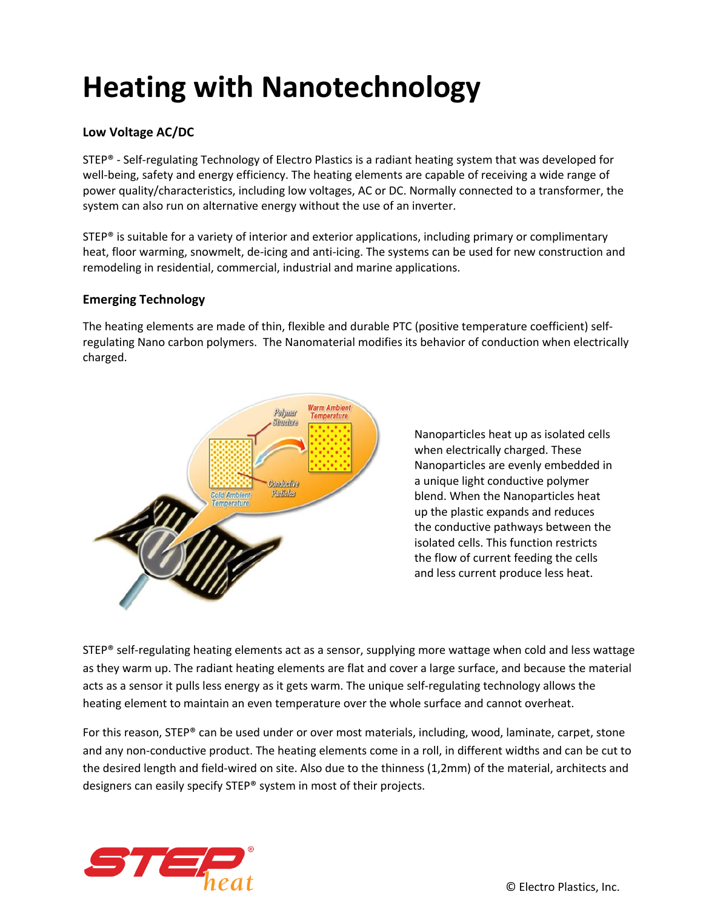## **Heating with Nanotechnology**

## **Low Voltage AC/DC**

STEP® - Self-regulating Technology of Electro Plastics is a radiant heating system that was developed for well-being, safety and energy efficiency. The heating elements are capable of receiving a wide range of power quality/characteristics, including low voltages, AC or DC. Normally connected to a transformer, the system can also run on alternative energy without the use of an inverter.

STEP® is suitable for a variety of interior and exterior applications, including primary or complimentary heat, floor warming, snowmelt, de-icing and anti-icing. The systems can be used for new construction and remodeling in residential, commercial, industrial and marine applications.

## **Emerging Technology**

The heating elements are made of thin, flexible and durable PTC (positive temperature coefficient) selfregulating Nano carbon polymers. The Nanomaterial modifies its behavior of conduction when electrically charged.



Nanoparticles heat up as isolated cells when electrically charged. These Nanoparticles are evenly embedded in a unique light conductive polymer blend. When the Nanoparticles heat up the plastic expands and reduces the conductive pathways between the isolated cells. This function restricts the flow of current feeding the cells and less current produce less heat.

STEP® self-regulating heating elements act as a sensor, supplying more wattage when cold and less wattage as they warm up. The radiant heating elements are flat and cover a large surface, and because the material acts as a sensor it pulls less energy as it gets warm. The unique self-regulating technology allows the heating element to maintain an even temperature over the whole surface and cannot overheat.

For this reason, STEP® can be used under or over most materials, including, wood, laminate, carpet, stone and any non-conductive product. The heating elements come in a roll, in different widths and can be cut to the desired length and field-wired on site. Also due to the thinness (1,2mm) of the material, architects and designers can easily specify STEP® system in most of their projects.